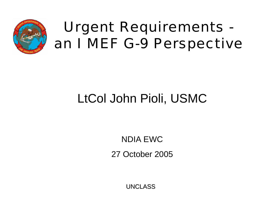

## Urgent Requirements an I MEF G-9 Perspective

### LtCol John Pioli, USMC

### NDIA EWC27 October 2005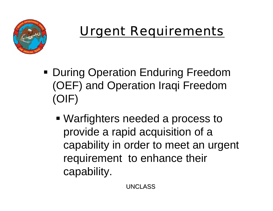

### Urgent Requirements

- **During Operation Enduring Freedom** (OEF) and Operation Iraqi Freedom (OIF)
	- Warfighters needed a process to provide a rapid acquisition of a capability in order to meet an urgent requirement to enhance their capability.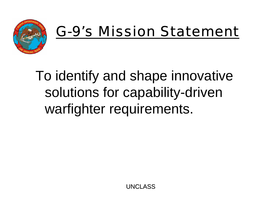

## G-9's Mission Statement

## To identify and shape innovative solutions for capability-driven warfighter requirements.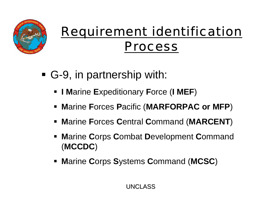

### Requirement identification Process

- G-9, in partnership with:
	- **I M**arine **E**xpeditionary **F**orce (**I MEF**)
	- **M**arine **F**orces **P**acific (**MARFORPAC or MFP**)
	- **M**arine **F**orces **C**entral **C**ommand (**MARCENT**)
	- **M**arine **C**orps **C**ombat **D**evelopment **C**ommand (**MCCDC**)
	- **M**arine **C**orps **S**ystems **C**ommand (**MCSC**)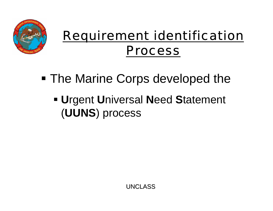

### Requirement identification Process

- **The Marine Corps developed the** 
	- **U**rgent **U**niversal **N**eed **S**tatement (**UUNS**) process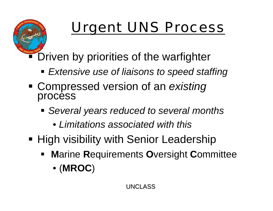# Urgent UNS Process

- **Driven by priorities of the warfighter** 
	- *Extensive use of liaisons to speed staffing*
- Compressed version of an *existing* process
	- *Several years reduced to several months* 
		- *Limitations associated with this*
- **High visibility with Senior Leadership** 
	- Ξ **M**arine **R**equirements **O**versight **C**ommittee
		- (**MROC**)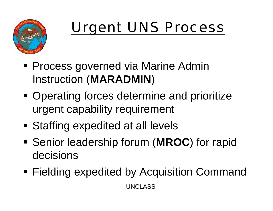

# Urgent UNS Process

- Process governed via Marine Admin Instruction (**MARADMIN**)
- **Operating forces determine and prioritize** urgent capability requirement
- **Staffing expedited at all levels**
- Senior leadership forum (**MROC**) for rapid decisions
- **Fielding expedited by Acquisition Command**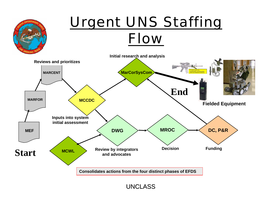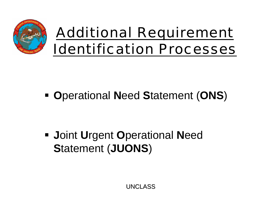

## Additional Requirement Identification Processes

**O**perational **N**eed **S**tatement (**ONS**)

 **J**oint **U**rgent **O**perational **N**eed **S**tatement (**JUONS**)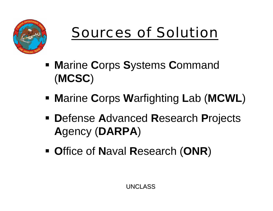

# Sources of Solution

- **M**arine **C**orps **S**ystems **C**ommand (**MCSC**)
- **M**arine **C**orps **W**arfighting **L**ab (**MCWL**)
- **D**efense **A**dvanced **R**esearch **P**rojects **A**gency (**DARPA**)
- **O**ffice of **N**aval **R**esearch (**ONR**)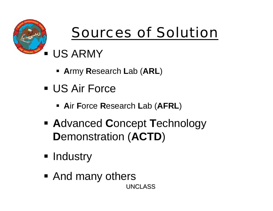

# Sources of Solution

- US ARMY
	- **A**rmy **R**esearch **L**ab (**ARL**)
- US Air Force
	- **A**ir **F**orce **R**esearch **L**ab (**AFRL**)
- **A**dvanced **C**oncept **T**echnology **D**emonstration (**ACTD**)
- **Industry**
- UNCLASS **And many others**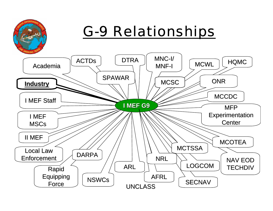# G-9 Relationships

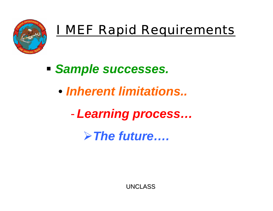

### I MEF Rapid Requirements

*Sample successes.*

- *Inherent limitations..*
	- -*Learning process…*

¾*The future….*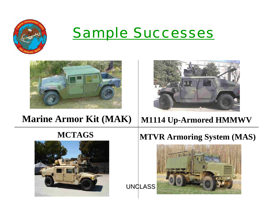







#### **Marine Armor Kit (MAK)**

#### **M1114 Up-Armored HMMWV**

#### **MCTAGS**



#### **MTVR Armoring System (MAS)**

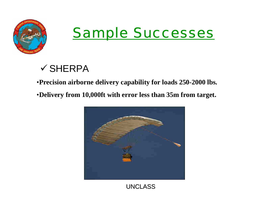



#### $\checkmark$  SHERPA

•**Precision airborne delivery capability for loads 250-2000 lbs.**

•**Delivery from 10,000ft with error less than 35m from target.**

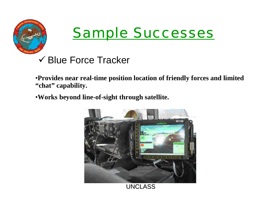



### $\checkmark$  Blue Force Tracker

•**Provides near real-time position location of friendly forces and limited "chat" capability.**

•**Works beyond line-of-sight through satellite.**

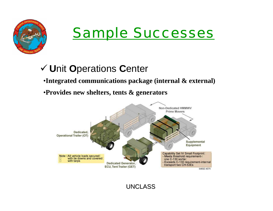



### 9 **U**nit **O**perations **C**enter

•**Integrated communications package (internal & external)**

•**Provides new shelters, tents & generators**

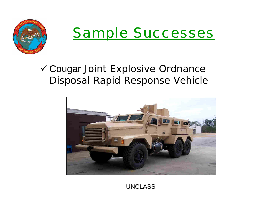



Gougar Joint Explosive Ordnance Disposal Rapid Response Vehicle

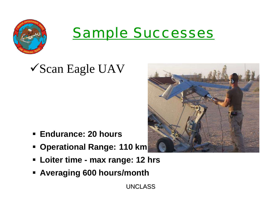



### $\checkmark$ Scan Eagle UAV

- **Endurance: 20 hours**
- **Operational Range: 110 km**
- **Loiter time - max range: 12 hrs**
- **Averaging 600 hours/month**

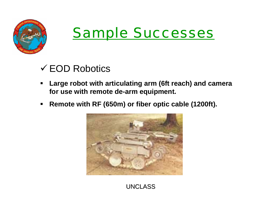



- $\checkmark$  EOD Robotics
- П **Large robot with articulating arm (6ft reach) and camera for use with remote de-arm equipment.**
- $\blacksquare$ **Remote with RF (650m) or fiber optic cable (1200ft).**

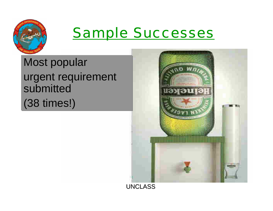



Most popular Most popular urgent requirement urgent requirement submitted submitted (38 times!) (38 times!)

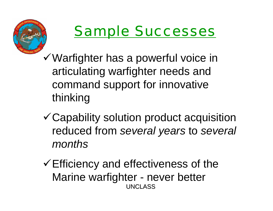



- $\checkmark$  Warfighter has a powerful voice in articulating warfighter needs and command support for innovative thinking
- $\checkmark$  Capability solution product acquisition reduced from *several years* to *several months*
- UNCLASS UNCLASS $\checkmark$  Efficiency and effectiveness of the Marine warfighter - never better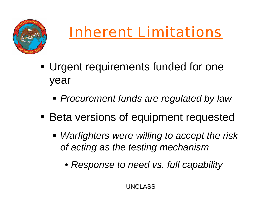



- **Urgent requirements funded for one** year
	- *Procurement funds are regulated by law*
- **Beta versions of equipment requested** 
	- *Warfighters were willing to accept the risk of acting as the testing mechanism* 
		- *Response to need vs. full capability*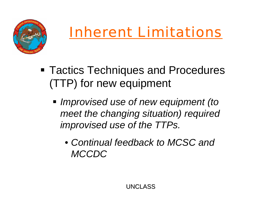



- Tactics Techniques and Procedures (TTP) for new equipment
	- *Improvised use of new equipment (to meet the changing situation) required improvised use of the TTPs.* 
		- *Continual feedback to MCSC and MCCDC*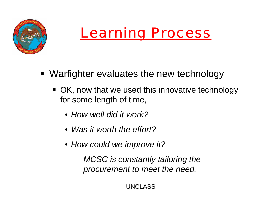



- Warfighter evaluates the new technology
	- OK, now that we used this innovative technology for some length of time,
		- *How well did it work?*
		- *Was it worth the effort?*
		- *How could we improve it?*
			- – *MCSC is constantly tailoring the procurement to meet the need.*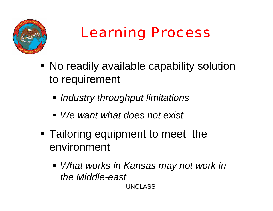



- No readily available capability solution to requirement
	- *Industry throughput limitations*
	- *We want what does not exist*
- **Tailoring equipment to meet the** environment
	- UNCLASS *What works in Kansas may not work in the Middle-east*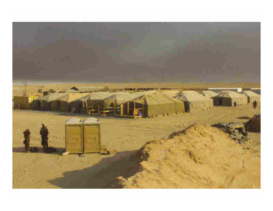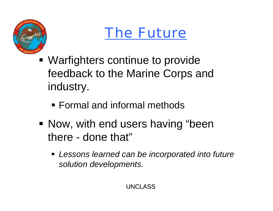



- Warfighters continue to provide feedback to the Marine Corps and industry.
	- Formal and informal methods
- **Now, with end users having "been** there - done that"
	- *Lessons learned can be incorporated into future solution developments.*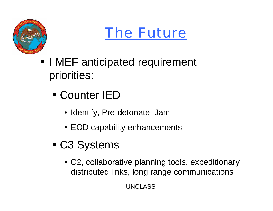



- **I MEF anticipated requirement** priorities:
	- Counter IED
		- Identify, Pre-detonate, Jam
		- EOD capability enhancements
	- C3 Systems
		- C2, collaborative planning tools, expeditionary distributed links, long range communications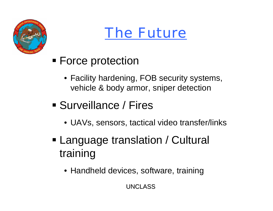



### ■ Force protection

- Facility hardening, FOB security systems, vehicle & body armor, sniper detection
- Surveillance / Fires
	- UAVs, sensors, tactical video transfer/links
- **Example 12 Figure 12 Figure 10 Figure 10 Figure 10 Figure 10 Figure 10 Figure 10 Figure 10 Figure 10 Figure 10 Figure 10 Figure 10 Figure 10 Figure 10 Figure 10 Figure 10 Figure 10 Figure 10 Figure 10 Figure 10 Figure 10** training
	- Handheld devices, software, training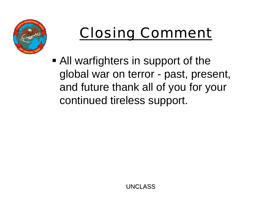

# Closing Comment

**All warfighters in support of the** global war on terror - past, present, and future thank all of you for your continued tireless support.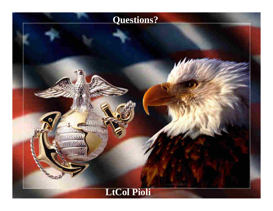#### **Questions?**

### **LtCol Pioli**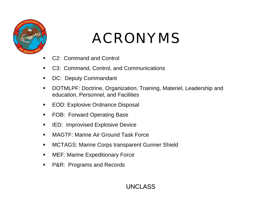

## ACRONYMS

- $\blacksquare$ C2: Command and Control
- $\blacksquare$ C3: Command, Control, and Communications
- $\blacksquare$ DC: Deputy Commandant
- $\blacksquare$  DOTMLPF: Doctrine, Organization, Training, Materiel, Leadership and education, Personnel, and Facilities
- $\blacksquare$ EOD: Explosive Ordnance Disposal
- $\blacksquare$ FOB: Forward Operating Base
- $\blacksquare$ IED: Improvised Explosive Device
- $\blacksquare$ MAGTF: Marine Air Ground Task Force
- $\blacksquare$ MCTAGS: Marine Corps transparent Gunner Shield
- $\blacksquare$ MEF: Marine Expeditionary Force
- $\blacksquare$ P&R: Programs and Records